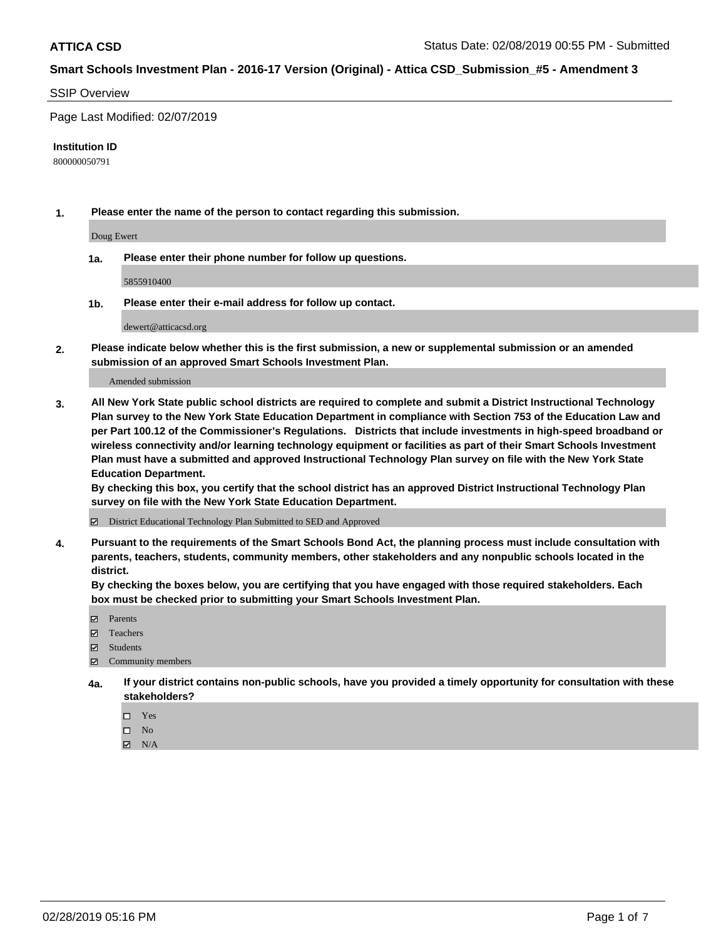#### SSIP Overview

Page Last Modified: 02/07/2019

#### **Institution ID**

800000050791

**1. Please enter the name of the person to contact regarding this submission.**

Doug Ewert

**1a. Please enter their phone number for follow up questions.**

5855910400

**1b. Please enter their e-mail address for follow up contact.**

dewert@atticacsd.org

**2. Please indicate below whether this is the first submission, a new or supplemental submission or an amended submission of an approved Smart Schools Investment Plan.**

Amended submission

**3. All New York State public school districts are required to complete and submit a District Instructional Technology Plan survey to the New York State Education Department in compliance with Section 753 of the Education Law and per Part 100.12 of the Commissioner's Regulations. Districts that include investments in high-speed broadband or wireless connectivity and/or learning technology equipment or facilities as part of their Smart Schools Investment Plan must have a submitted and approved Instructional Technology Plan survey on file with the New York State Education Department.** 

**By checking this box, you certify that the school district has an approved District Instructional Technology Plan survey on file with the New York State Education Department.**

District Educational Technology Plan Submitted to SED and Approved

**4. Pursuant to the requirements of the Smart Schools Bond Act, the planning process must include consultation with parents, teachers, students, community members, other stakeholders and any nonpublic schools located in the district.** 

**By checking the boxes below, you are certifying that you have engaged with those required stakeholders. Each box must be checked prior to submitting your Smart Schools Investment Plan.**

- **□** Parents
- Teachers
- Students
- $\boxtimes$  Community members
- **4a. If your district contains non-public schools, have you provided a timely opportunity for consultation with these stakeholders?**
	- Yes
	- $\qquad \qquad$  No
	- $\blacksquare$  N/A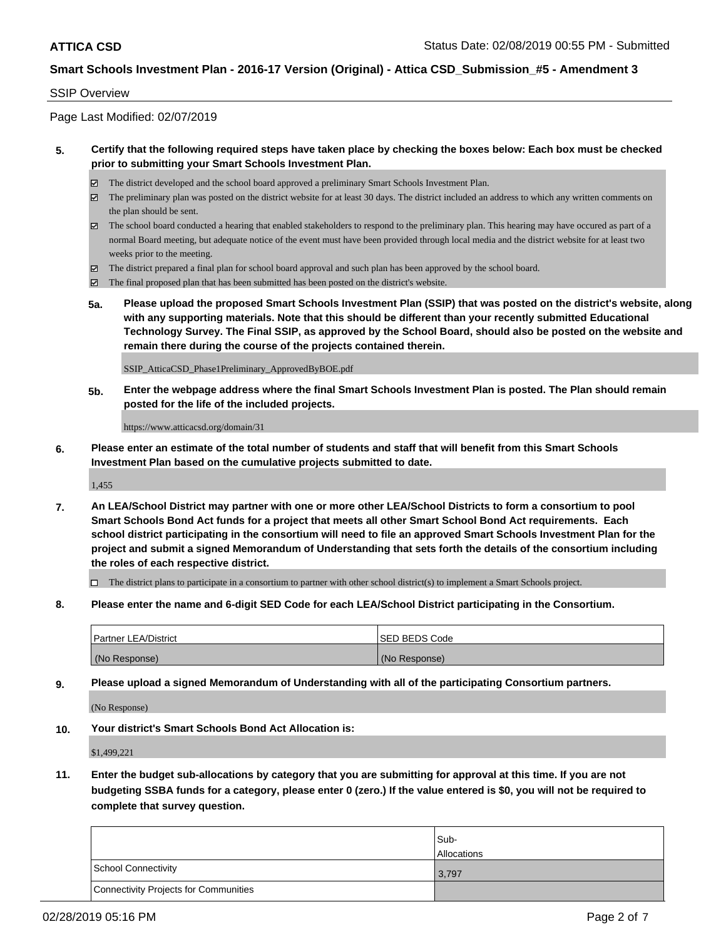#### SSIP Overview

Page Last Modified: 02/07/2019

#### **5. Certify that the following required steps have taken place by checking the boxes below: Each box must be checked prior to submitting your Smart Schools Investment Plan.**

- The district developed and the school board approved a preliminary Smart Schools Investment Plan.
- $\boxtimes$  The preliminary plan was posted on the district website for at least 30 days. The district included an address to which any written comments on the plan should be sent.
- $\boxtimes$  The school board conducted a hearing that enabled stakeholders to respond to the preliminary plan. This hearing may have occured as part of a normal Board meeting, but adequate notice of the event must have been provided through local media and the district website for at least two weeks prior to the meeting.
- The district prepared a final plan for school board approval and such plan has been approved by the school board.
- $\boxtimes$  The final proposed plan that has been submitted has been posted on the district's website.
- **5a. Please upload the proposed Smart Schools Investment Plan (SSIP) that was posted on the district's website, along with any supporting materials. Note that this should be different than your recently submitted Educational Technology Survey. The Final SSIP, as approved by the School Board, should also be posted on the website and remain there during the course of the projects contained therein.**

SSIP\_AtticaCSD\_Phase1Preliminary\_ApprovedByBOE.pdf

**5b. Enter the webpage address where the final Smart Schools Investment Plan is posted. The Plan should remain posted for the life of the included projects.**

https://www.atticacsd.org/domain/31

**6. Please enter an estimate of the total number of students and staff that will benefit from this Smart Schools Investment Plan based on the cumulative projects submitted to date.**

1,455

**7. An LEA/School District may partner with one or more other LEA/School Districts to form a consortium to pool Smart Schools Bond Act funds for a project that meets all other Smart School Bond Act requirements. Each school district participating in the consortium will need to file an approved Smart Schools Investment Plan for the project and submit a signed Memorandum of Understanding that sets forth the details of the consortium including the roles of each respective district.**

 $\Box$  The district plans to participate in a consortium to partner with other school district(s) to implement a Smart Schools project.

**8. Please enter the name and 6-digit SED Code for each LEA/School District participating in the Consortium.**

| <b>Partner LEA/District</b> | <b>ISED BEDS Code</b> |
|-----------------------------|-----------------------|
| (No Response)               | (No Response)         |

**9. Please upload a signed Memorandum of Understanding with all of the participating Consortium partners.**

(No Response)

**10. Your district's Smart Schools Bond Act Allocation is:**

\$1,499,221

**11. Enter the budget sub-allocations by category that you are submitting for approval at this time. If you are not budgeting SSBA funds for a category, please enter 0 (zero.) If the value entered is \$0, you will not be required to complete that survey question.**

|                                              | Sub-               |
|----------------------------------------------|--------------------|
|                                              | <b>Allocations</b> |
| <b>School Connectivity</b>                   | 3,797              |
| <b>Connectivity Projects for Communities</b> |                    |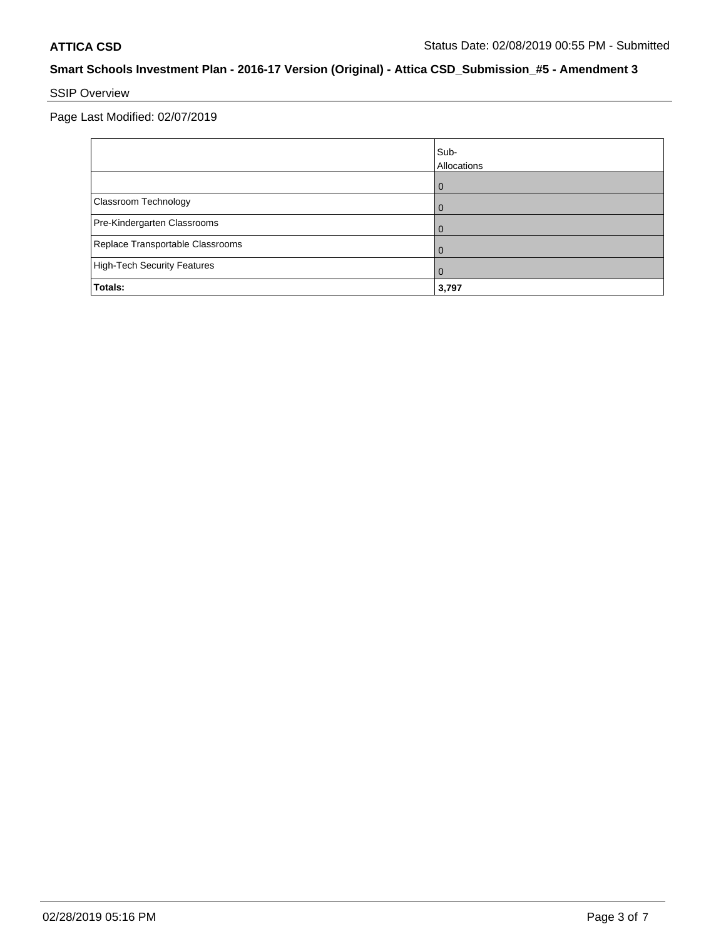## SSIP Overview

Page Last Modified: 02/07/2019

|                                    | Sub-<br>Allocations |
|------------------------------------|---------------------|
|                                    | O                   |
| Classroom Technology               | U                   |
| Pre-Kindergarten Classrooms        |                     |
| Replace Transportable Classrooms   |                     |
| <b>High-Tech Security Features</b> | U                   |
| Totals:                            | 3,797               |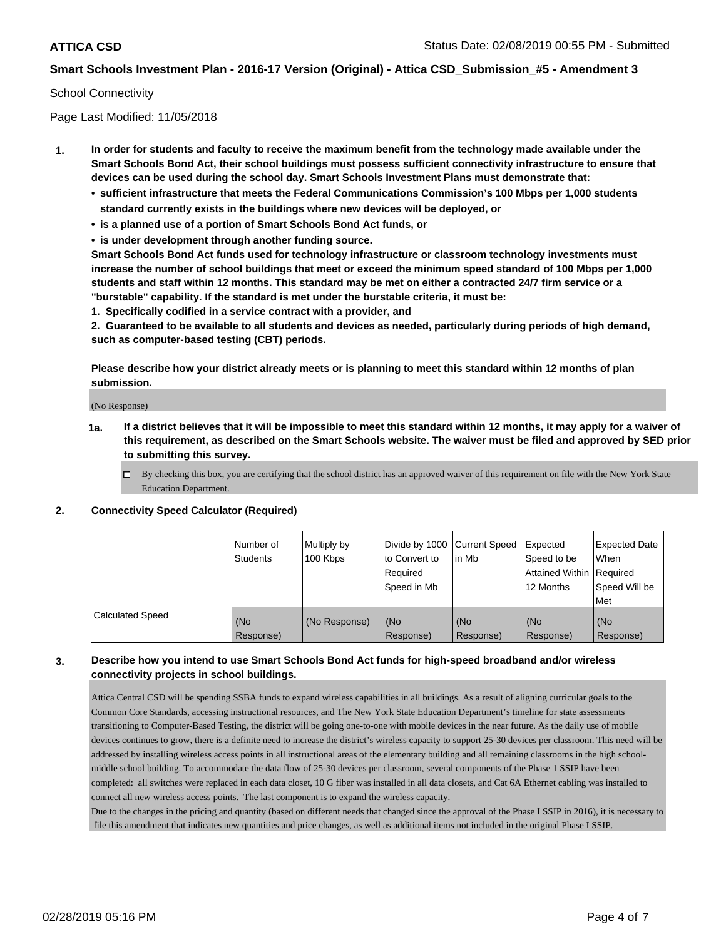#### School Connectivity

Page Last Modified: 11/05/2018

- **1. In order for students and faculty to receive the maximum benefit from the technology made available under the Smart Schools Bond Act, their school buildings must possess sufficient connectivity infrastructure to ensure that devices can be used during the school day. Smart Schools Investment Plans must demonstrate that:**
	- **• sufficient infrastructure that meets the Federal Communications Commission's 100 Mbps per 1,000 students standard currently exists in the buildings where new devices will be deployed, or**
	- **• is a planned use of a portion of Smart Schools Bond Act funds, or**
	- **• is under development through another funding source.**

**Smart Schools Bond Act funds used for technology infrastructure or classroom technology investments must increase the number of school buildings that meet or exceed the minimum speed standard of 100 Mbps per 1,000 students and staff within 12 months. This standard may be met on either a contracted 24/7 firm service or a "burstable" capability. If the standard is met under the burstable criteria, it must be:**

**1. Specifically codified in a service contract with a provider, and**

**2. Guaranteed to be available to all students and devices as needed, particularly during periods of high demand, such as computer-based testing (CBT) periods.**

**Please describe how your district already meets or is planning to meet this standard within 12 months of plan submission.**

(No Response)

- **1a. If a district believes that it will be impossible to meet this standard within 12 months, it may apply for a waiver of this requirement, as described on the Smart Schools website. The waiver must be filed and approved by SED prior to submitting this survey.**
	- By checking this box, you are certifying that the school district has an approved waiver of this requirement on file with the New York State Education Department.

#### **2. Connectivity Speed Calculator (Required)**

|                         | l Number of<br>Students | Multiply by<br>100 Kbps | Divide by 1000 Current Speed<br>to Convert to<br>Required<br>Speed in Mb | lin Mb           | Expected<br>Speed to be<br>Attained Within Required<br>12 Months | <b>Expected Date</b><br>When<br>Speed Will be<br>Met |
|-------------------------|-------------------------|-------------------------|--------------------------------------------------------------------------|------------------|------------------------------------------------------------------|------------------------------------------------------|
| <b>Calculated Speed</b> | (No<br>Response)        | (No Response)           | (No<br>Response)                                                         | (No<br>Response) | (No<br>Response)                                                 | l (No<br>Response)                                   |

### **3. Describe how you intend to use Smart Schools Bond Act funds for high-speed broadband and/or wireless connectivity projects in school buildings.**

Attica Central CSD will be spending SSBA funds to expand wireless capabilities in all buildings. As a result of aligning curricular goals to the Common Core Standards, accessing instructional resources, and The New York State Education Department's timeline for state assessments transitioning to Computer-Based Testing, the district will be going one-to-one with mobile devices in the near future. As the daily use of mobile devices continues to grow, there is a definite need to increase the district's wireless capacity to support 25-30 devices per classroom. This need will be addressed by installing wireless access points in all instructional areas of the elementary building and all remaining classrooms in the high schoolmiddle school building. To accommodate the data flow of 25-30 devices per classroom, several components of the Phase 1 SSIP have been completed: all switches were replaced in each data closet, 10 G fiber was installed in all data closets, and Cat 6A Ethernet cabling was installed to connect all new wireless access points. The last component is to expand the wireless capacity.

Due to the changes in the pricing and quantity (based on different needs that changed since the approval of the Phase I SSIP in 2016), it is necessary to file this amendment that indicates new quantities and price changes, as well as additional items not included in the original Phase I SSIP.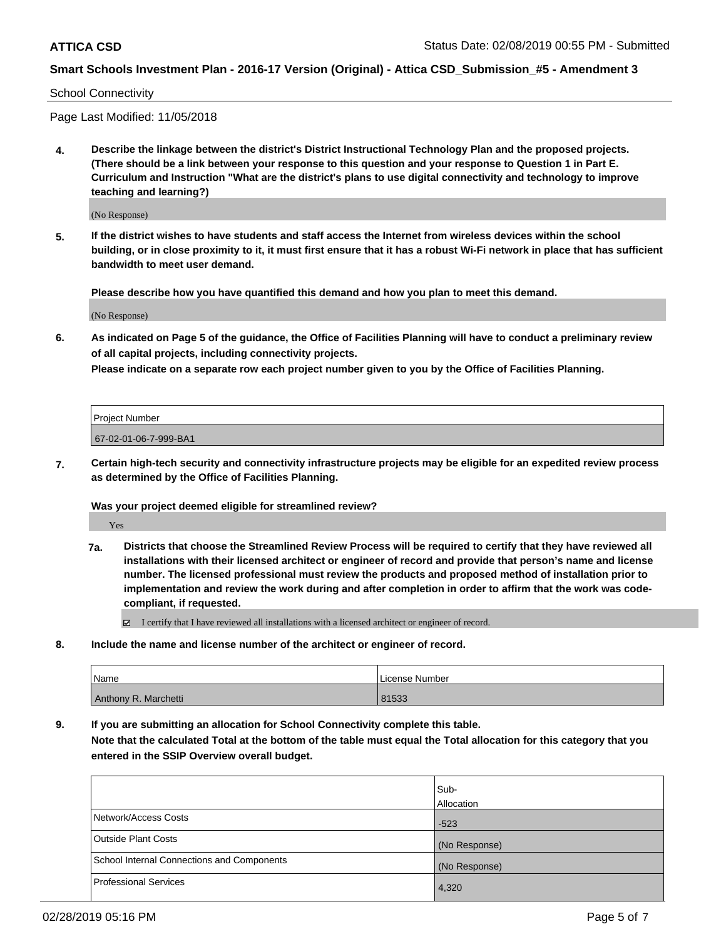School Connectivity

Page Last Modified: 11/05/2018

**4. Describe the linkage between the district's District Instructional Technology Plan and the proposed projects. (There should be a link between your response to this question and your response to Question 1 in Part E. Curriculum and Instruction "What are the district's plans to use digital connectivity and technology to improve teaching and learning?)**

(No Response)

**5. If the district wishes to have students and staff access the Internet from wireless devices within the school building, or in close proximity to it, it must first ensure that it has a robust Wi-Fi network in place that has sufficient bandwidth to meet user demand.**

**Please describe how you have quantified this demand and how you plan to meet this demand.**

(No Response)

**6. As indicated on Page 5 of the guidance, the Office of Facilities Planning will have to conduct a preliminary review of all capital projects, including connectivity projects.**

**Please indicate on a separate row each project number given to you by the Office of Facilities Planning.**

| Project Number        |  |
|-----------------------|--|
| 67-02-01-06-7-999-BA1 |  |

**7. Certain high-tech security and connectivity infrastructure projects may be eligible for an expedited review process as determined by the Office of Facilities Planning.**

**Was your project deemed eligible for streamlined review?**

Yes

**7a. Districts that choose the Streamlined Review Process will be required to certify that they have reviewed all installations with their licensed architect or engineer of record and provide that person's name and license number. The licensed professional must review the products and proposed method of installation prior to implementation and review the work during and after completion in order to affirm that the work was codecompliant, if requested.**

I certify that I have reviewed all installations with a licensed architect or engineer of record.

**8. Include the name and license number of the architect or engineer of record.**

| Name                 | License Number |
|----------------------|----------------|
| Anthony R. Marchetti | 81533          |

**9. If you are submitting an allocation for School Connectivity complete this table.**

**Note that the calculated Total at the bottom of the table must equal the Total allocation for this category that you entered in the SSIP Overview overall budget.** 

|                                            | Sub-          |
|--------------------------------------------|---------------|
|                                            | Allocation    |
| Network/Access Costs                       | $-523$        |
| <b>Outside Plant Costs</b>                 | (No Response) |
| School Internal Connections and Components | (No Response) |
| <b>Professional Services</b>               | 4,320         |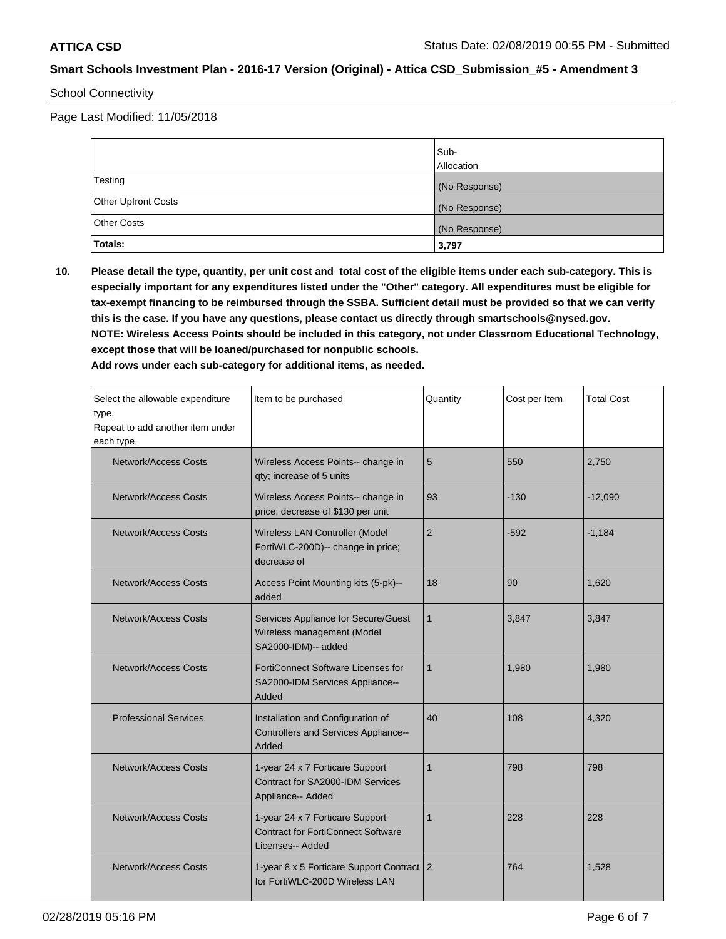### School Connectivity

Page Last Modified: 11/05/2018

|                     | Sub-<br>Allocation |
|---------------------|--------------------|
| Testing             | (No Response)      |
| Other Upfront Costs | (No Response)      |
| <b>Other Costs</b>  | (No Response)      |
| Totals:             | 3,797              |

**10. Please detail the type, quantity, per unit cost and total cost of the eligible items under each sub-category. This is especially important for any expenditures listed under the "Other" category. All expenditures must be eligible for tax-exempt financing to be reimbursed through the SSBA. Sufficient detail must be provided so that we can verify this is the case. If you have any questions, please contact us directly through smartschools@nysed.gov. NOTE: Wireless Access Points should be included in this category, not under Classroom Educational Technology, except those that will be loaned/purchased for nonpublic schools.**

**Add rows under each sub-category for additional items, as needed.**

| Select the allowable expenditure<br>type.<br>Repeat to add another item under<br>each type. | Item to be purchased                                                                             | Quantity       | Cost per Item | <b>Total Cost</b> |
|---------------------------------------------------------------------------------------------|--------------------------------------------------------------------------------------------------|----------------|---------------|-------------------|
| <b>Network/Access Costs</b>                                                                 | Wireless Access Points-- change in<br>qty; increase of 5 units                                   | 5              | 550           | 2,750             |
| Network/Access Costs                                                                        | Wireless Access Points-- change in<br>price; decrease of \$130 per unit                          | 93             | $-130$        | $-12,090$         |
| Network/Access Costs                                                                        | Wireless LAN Controller (Model<br>FortiWLC-200D)-- change in price;<br>decrease of               | $\overline{2}$ | $-592$        | $-1,184$          |
| <b>Network/Access Costs</b>                                                                 | Access Point Mounting kits (5-pk)--<br>added                                                     | 18             | 90            | 1,620             |
| Network/Access Costs                                                                        | Services Appliance for Secure/Guest<br>Wireless management (Model<br>SA2000-IDM)-- added         | $\mathbf{1}$   | 3,847         | 3,847             |
| <b>Network/Access Costs</b>                                                                 | FortiConnect Software Licenses for<br>SA2000-IDM Services Appliance--<br>Added                   | $\mathbf{1}$   | 1,980         | 1,980             |
| <b>Professional Services</b>                                                                | Installation and Configuration of<br>Controllers and Services Appliance--<br>Added               | 40             | 108           | 4,320             |
| Network/Access Costs                                                                        | 1-year 24 x 7 Forticare Support<br>Contract for SA2000-IDM Services<br>Appliance-- Added         | $\mathbf{1}$   | 798           | 798               |
| <b>Network/Access Costs</b>                                                                 | 1-year 24 x 7 Forticare Support<br><b>Contract for FortiConnect Software</b><br>Licenses-- Added | $\mathbf{1}$   | 228           | 228               |
| Network/Access Costs                                                                        | 1-year 8 x 5 Forticare Support Contract   2<br>for FortiWLC-200D Wireless LAN                    |                | 764           | 1,528             |